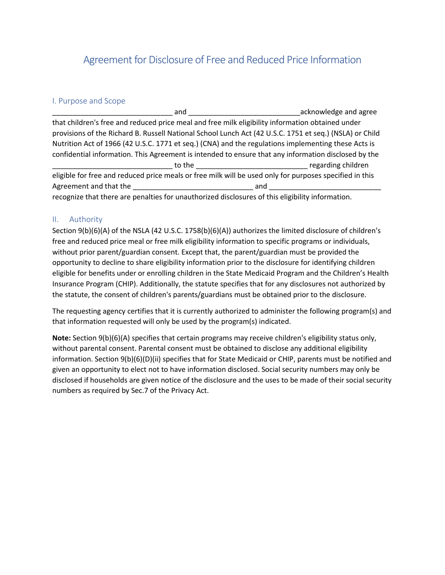# Agreement for Disclosure of Free and Reduced Price Information

## I. Purpose and Scope

and and  $\alpha$  acknowledge and agree that children's free and reduced price meal and free milk eligibility information obtained under provisions of the Richard B. Russell National School Lunch Act (42 U.S.C. 1751 et seq.) (NSLA) or Child Nutrition Act of 1966 (42 U.S.C. 1771 et seq.) (CNA) and the regulations implementing these Acts is confidential information. This Agreement is intended to ensure that any information disclosed by the \_\_\_\_\_\_\_\_\_\_\_\_\_\_\_\_\_\_\_\_\_\_\_\_\_\_\_\_\_\_ to the \_\_\_\_\_\_\_\_\_\_\_\_\_\_\_\_\_\_\_\_\_\_\_\_\_\_\_\_ regarding children eligible for free and reduced price meals or free milk will be used only for purposes specified in this Agreement and that the \_\_\_\_\_\_\_\_\_\_\_\_\_\_\_\_\_\_\_\_\_\_\_\_\_\_\_\_\_\_ and \_\_\_\_\_\_\_\_\_\_\_\_\_\_\_\_\_\_\_\_\_\_\_\_\_\_\_\_ recognize that there are penalties for unauthorized disclosures of this eligibility information.

## II. Authority

Section 9(b)(6)(A) of the NSLA (42 U.S.C. 1758(b)(6)(A)) authorizes the limited disclosure of children's free and reduced price meal or free milk eligibility information to specific programs or individuals, without prior parent/guardian consent. Except that, the parent/guardian must be provided the opportunity to decline to share eligibility information prior to the disclosure for identifying children eligible for benefits under or enrolling children in the State Medicaid Program and the Children's Health Insurance Program (CHIP). Additionally, the statute specifies that for any disclosures not authorized by the statute, the consent of children's parents/guardians must be obtained prior to the disclosure.

The requesting agency certifies that it is currently authorized to administer the following program(s) and that information requested will only be used by the program(s) indicated.

**Note:** Section 9(b)(6)(A) specifies that certain programs may receive children's eligibility status only, without parental consent. Parental consent must be obtained to disclose any additional eligibility information. Section 9(b)(6)(D)(ii) specifies that for State Medicaid or CHIP, parents must be notified and given an opportunity to elect not to have information disclosed. Social security numbers may only be disclosed if households are given notice of the disclosure and the uses to be made of their social security numbers as required by Sec.7 of the Privacy Act.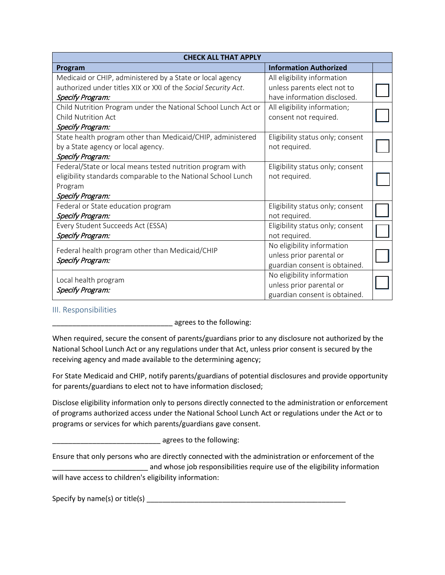| <b>CHECK ALL THAT APPLY</b>                                         |                                  |  |
|---------------------------------------------------------------------|----------------------------------|--|
| Program                                                             | <b>Information Authorized</b>    |  |
| Medicaid or CHIP, administered by a State or local agency           | All eligibility information      |  |
| authorized under titles XIX or XXI of the Social Security Act.      | unless parents elect not to      |  |
| Specify Program:                                                    | have information disclosed.      |  |
| Child Nutrition Program under the National School Lunch Act or      | All eligibility information;     |  |
| <b>Child Nutrition Act</b>                                          | consent not required.            |  |
| Specify Program:                                                    |                                  |  |
| State health program other than Medicaid/CHIP, administered         | Eligibility status only; consent |  |
| by a State agency or local agency.                                  | not required.                    |  |
| Specify Program:                                                    |                                  |  |
| Federal/State or local means tested nutrition program with          | Eligibility status only; consent |  |
| eligibility standards comparable to the National School Lunch       | not required.                    |  |
| Program                                                             |                                  |  |
| Specify Program:                                                    |                                  |  |
| Federal or State education program                                  | Eligibility status only; consent |  |
| Specify Program:                                                    | not required.                    |  |
| Every Student Succeeds Act (ESSA)                                   | Eligibility status only; consent |  |
| Specify Program:                                                    | not required.                    |  |
| Federal health program other than Medicaid/CHIP<br>Specify Program: | No eligibility information       |  |
|                                                                     | unless prior parental or         |  |
|                                                                     | guardian consent is obtained.    |  |
| Local health program<br>Specify Program:                            | No eligibility information       |  |
|                                                                     | unless prior parental or         |  |
|                                                                     | guardian consent is obtained.    |  |

## III. Responsibilities

agrees to the following:

When required, secure the consent of parents/guardians prior to any disclosure not authorized by the National School Lunch Act or any regulations under that Act, unless prior consent is secured by the receiving agency and made available to the determining agency;

For State Medicaid and CHIP, notify parents/guardians of potential disclosures and provide opportunity for parents/guardians to elect not to have information disclosed;

Disclose eligibility information only to persons directly connected to the administration or enforcement of programs authorized access under the National School Lunch Act or regulations under the Act or to programs or services for which parents/guardians gave consent.

\_\_\_\_\_\_\_\_\_\_\_\_\_\_\_\_\_\_\_\_\_\_\_\_\_\_\_ agrees to the following:

Ensure that only persons who are directly connected with the administration or enforcement of the \_ and whose job responsibilities require use of the eligibility information

will have access to children's eligibility information:

Specify by name(s) or title(s) \_\_\_\_\_\_\_\_\_\_\_\_\_\_\_\_\_\_\_\_\_\_\_\_\_\_\_\_\_\_\_\_\_\_\_\_\_\_\_\_\_\_\_\_\_\_\_\_\_\_